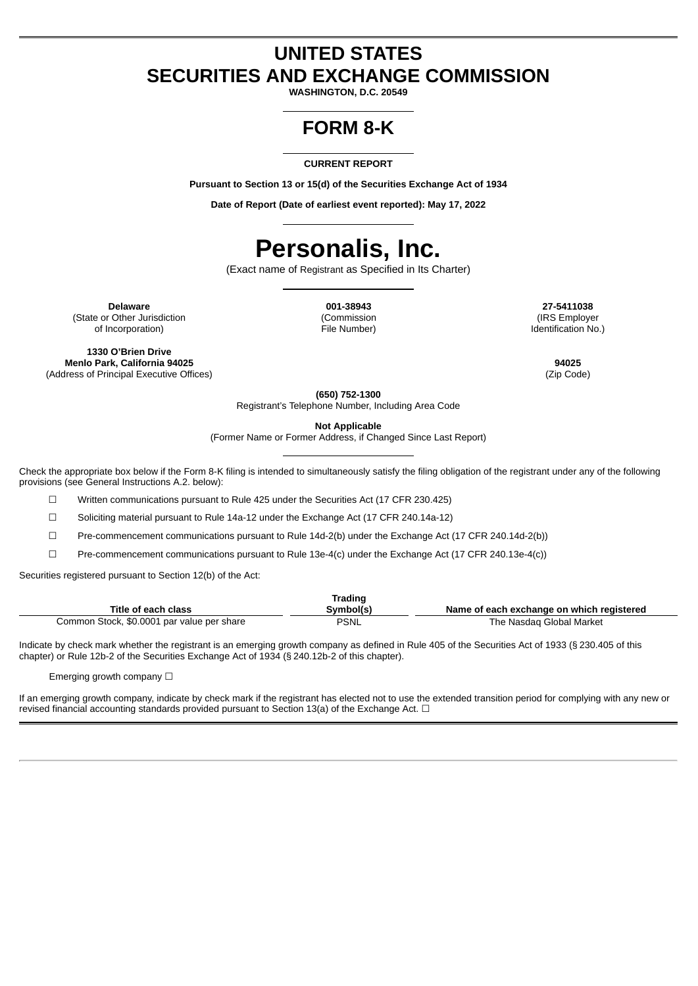### **UNITED STATES SECURITIES AND EXCHANGE COMMISSION**

**WASHINGTON, D.C. 20549**

## **FORM 8-K**

### **CURRENT REPORT**

**Pursuant to Section 13 or 15(d) of the Securities Exchange Act of 1934**

**Date of Report (Date of earliest event reported): May 17, 2022**

# **Personalis, Inc.**

(Exact name of Registrant as Specified in Its Charter)

**Delaware 001-38943 27-5411038** (State or Other Jurisdiction of Incorporation)

(Commission File Number)

(IRS Employer Identification No.)

**1330 O'Brien Drive Menlo Park, California 94025 94025** (Address of Principal Executive Offices) (Zip Code)

**(650) 752-1300** Registrant's Telephone Number, Including Area Code

**Not Applicable**

(Former Name or Former Address, if Changed Since Last Report)

Check the appropriate box below if the Form 8-K filing is intended to simultaneously satisfy the filing obligation of the registrant under any of the following provisions (see General Instructions A.2. below):

☐ Written communications pursuant to Rule 425 under the Securities Act (17 CFR 230.425)

☐ Soliciting material pursuant to Rule 14a-12 under the Exchange Act (17 CFR 240.14a-12)

☐ Pre-commencement communications pursuant to Rule 14d-2(b) under the Exchange Act (17 CFR 240.14d-2(b))

☐ Pre-commencement communications pursuant to Rule 13e-4(c) under the Exchange Act (17 CFR 240.13e-4(c))

Securities registered pursuant to Section 12(b) of the Act:

| Trading                                    |           |                                           |  |
|--------------------------------------------|-----------|-------------------------------------------|--|
| Title of each class                        | Svmbol(s) | Name of each exchange on which registered |  |
| Common Stock, \$0.0001 par value per share | PSNL      | The Nasdag Global Market                  |  |

Indicate by check mark whether the registrant is an emerging growth company as defined in Rule 405 of the Securities Act of 1933 (§ 230.405 of this chapter) or Rule 12b-2 of the Securities Exchange Act of 1934 (§ 240.12b-2 of this chapter).

Emerging growth company  $\Box$ 

If an emerging growth company, indicate by check mark if the registrant has elected not to use the extended transition period for complying with any new or revised financial accounting standards provided pursuant to Section 13(a) of the Exchange Act. □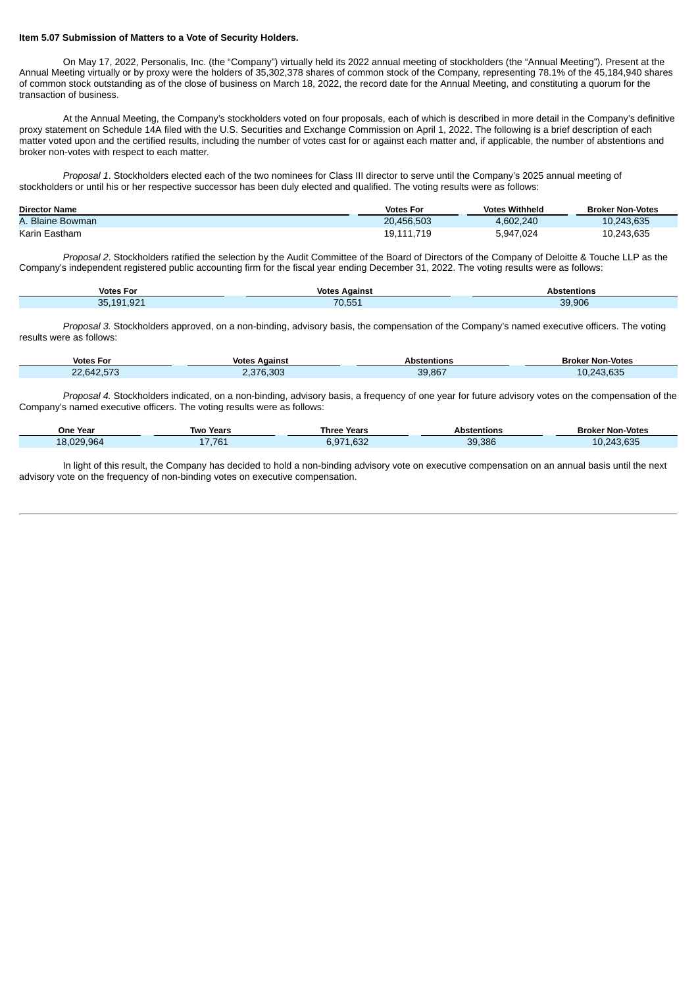#### **Item 5.07 Submission of Matters to a Vote of Security Holders.**

On May 17, 2022, Personalis, Inc. (the "Company") virtually held its 2022 annual meeting of stockholders (the "Annual Meeting"). Present at the Annual Meeting virtually or by proxy were the holders of 35,302,378 shares of common stock of the Company, representing 78.1% of the 45,184,940 shares of common stock outstanding as of the close of business on March 18, 2022, the record date for the Annual Meeting, and constituting a quorum for the transaction of business.

At the Annual Meeting, the Company's stockholders voted on four proposals, each of which is described in more detail in the Company's definitive proxy statement on Schedule 14A filed with the U.S. Securities and Exchange Commission on April 1, 2022. The following is a brief description of each matter voted upon and the certified results, including the number of votes cast for or against each matter and, if applicable, the number of abstentions and broker non-votes with respect to each matter.

*Proposal 1*. Stockholders elected each of the two nominees for Class III director to serve until the Company's 2025 annual meeting of stockholders or until his or her respective successor has been duly elected and qualified. The voting results were as follows:

| <b>Director Name</b> | <b>Votes For</b> | <b>Votes Withheld</b> | <b>Broker Non-Votes</b> |
|----------------------|------------------|-----------------------|-------------------------|
| A. Blaine Bowman     | 20.456.503       | 4.602.240             | 10.243.635              |
| Karin Eastham        | 19,111,719       | 5,947,024             | 10.243.635              |

*Proposal 2*. Stockholders ratified the selection by the Audit Committee of the Board of Directors of the Company of Deloitte & Touche LLP as the Company's independent registered public accounting firm for the fiscal year ending December 31, 2022. The voting results were as follows:

| <b>Votes For</b>           | <b>Votes</b><br>Against                                                                                                                   | Abstentions |
|----------------------------|-------------------------------------------------------------------------------------------------------------------------------------------|-------------|
| .921<br>101<br>or<br>1 J J | $\mathcal{L}^{\text{max}}_{\text{max}}$ and $\mathcal{L}^{\text{max}}_{\text{max}}$ and $\mathcal{L}^{\text{max}}_{\text{max}}$<br>70.551 | 39,906      |

*Proposal 3.* Stockholders approved, on a non-binding, advisory basis, the compensation of the Company's named executive officers. The voting results were as follows:

| <b>Votes For</b> | <b>Votes Against</b> | <b>Abstentions</b> | <b>Broker Non-Votes</b> |
|------------------|----------------------|--------------------|-------------------------|
| 22.642.573       | 2,376,303            | 39,867             | 10.243.635              |

*Proposal 4.* Stockholders indicated, on a non-binding, advisory basis, a frequency of one year for future advisory votes on the compensation of the Company's named executive officers. The voting results were as follows:

| <b>One Year</b> | Two Years | <b>Three Years</b> | <b>Abstentions</b> | <b>Broker Non-Votes</b> |
|-----------------|-----------|--------------------|--------------------|-------------------------|
| 18.029.964      | 17,761    | 6.971.632          | 39,386             | 10,243,635              |

In light of this result, the Company has decided to hold a non-binding advisory vote on executive compensation on an annual basis until the next advisory vote on the frequency of non-binding votes on executive compensation.